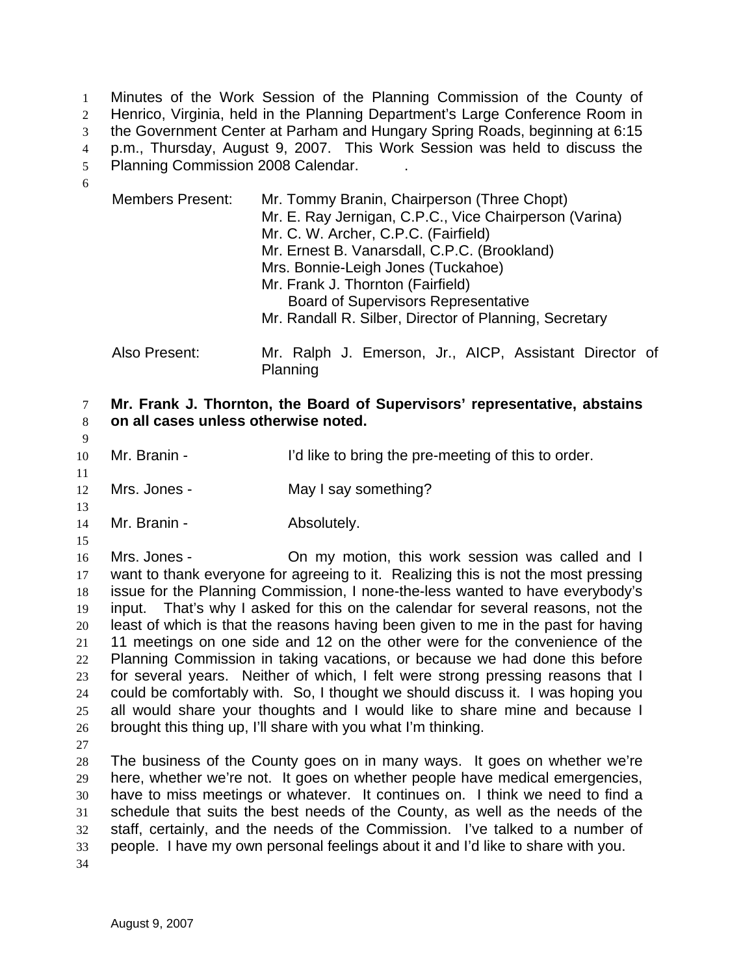Minutes of the Work Session of the Planning Commission of the County of Henrico, Virginia, held in the Planning Department's Large Conference Room in the Government Center at Parham and Hungary Spring Roads, beginning at 6:15 p.m., Thursday, August 9, 2007. This Work Session was held to discuss the Planning Commission 2008 Calendar. . 

| <b>Members Present:</b> | Mr. Tommy Branin, Chairperson (Three Chopt)<br>Mr. E. Ray Jernigan, C.P.C., Vice Chairperson (Varina)<br>Mr. C. W. Archer, C.P.C. (Fairfield)<br>Mr. Ernest B. Vanarsdall, C.P.C. (Brookland)<br>Mrs. Bonnie-Leigh Jones (Tuckahoe)<br>Mr. Frank J. Thornton (Fairfield) |
|-------------------------|--------------------------------------------------------------------------------------------------------------------------------------------------------------------------------------------------------------------------------------------------------------------------|
|                         | <b>Board of Supervisors Representative</b>                                                                                                                                                                                                                               |
|                         | Mr. Randall R. Silber, Director of Planning, Secretary                                                                                                                                                                                                                   |
| Also Present:           | Mr. Ralph J. Emerson, Jr., AICP, Assistant Director of                                                                                                                                                                                                                   |

Planning

## **Mr. Frank J. Thornton, the Board of Supervisors' representative, abstains on all cases unless otherwise noted.**

Mr. Branin - I'd like to bring the pre-meeting of this to order.

Mrs. Jones - May I say something?

- 14 Mr. Branin **Absolutely.**
- 

Mrs. Jones - On my motion, this work session was called and I want to thank everyone for agreeing to it. Realizing this is not the most pressing issue for the Planning Commission, I none-the-less wanted to have everybody's input. That's why I asked for this on the calendar for several reasons, not the least of which is that the reasons having been given to me in the past for having 11 meetings on one side and 12 on the other were for the convenience of the Planning Commission in taking vacations, or because we had done this before for several years. Neither of which, I felt were strong pressing reasons that I could be comfortably with. So, I thought we should discuss it. I was hoping you all would share your thoughts and I would like to share mine and because I brought this thing up, I'll share with you what I'm thinking.

The business of the County goes on in many ways. It goes on whether we're here, whether we're not. It goes on whether people have medical emergencies, have to miss meetings or whatever. It continues on. I think we need to find a schedule that suits the best needs of the County, as well as the needs of the staff, certainly, and the needs of the Commission. I've talked to a number of people. I have my own personal feelings about it and I'd like to share with you.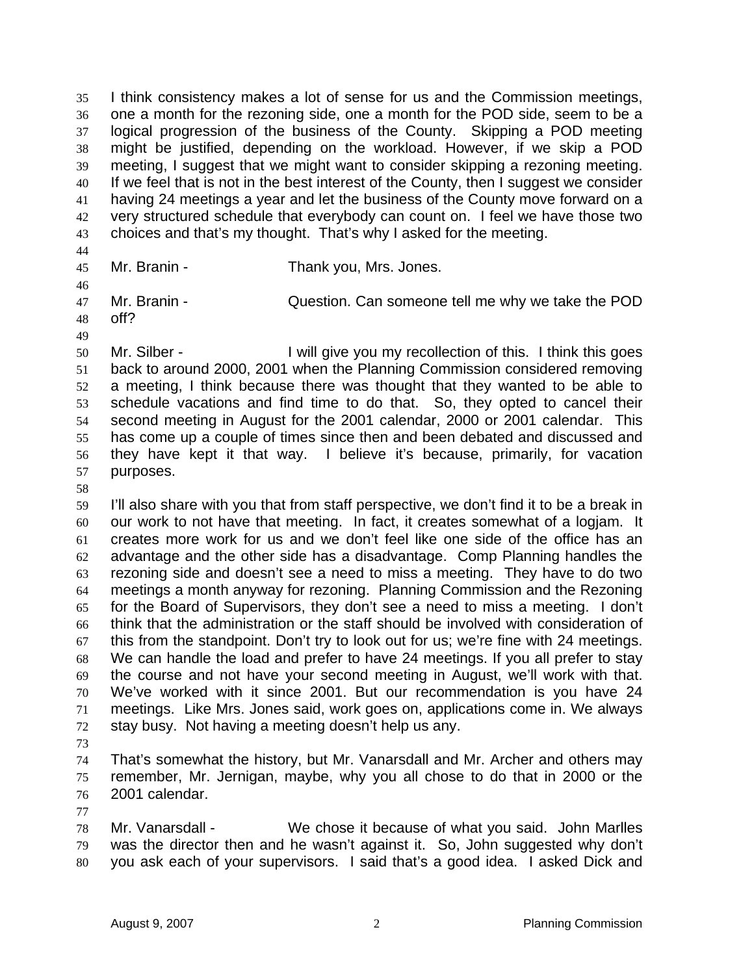I think consistency makes a lot of sense for us and the Commission meetings, one a month for the rezoning side, one a month for the POD side, seem to be a logical progression of the business of the County. Skipping a POD meeting might be justified, depending on the workload. However, if we skip a POD meeting, I suggest that we might want to consider skipping a rezoning meeting. 40 If we feel that is not in the best interest of the County, then I suggest we consider having 24 meetings a year and let the business of the County move forward on a very structured schedule that everybody can count on. I feel we have those two choices and that's my thought. That's why I asked for the meeting.

Mr. Branin - Thank you, Mrs. Jones.

Mr. Branin - Question. Can someone tell me why we take the POD off?

Mr. Silber - I will give you my recollection of this. I think this goes back to around 2000, 2001 when the Planning Commission considered removing a meeting, I think because there was thought that they wanted to be able to schedule vacations and find time to do that. So, they opted to cancel their second meeting in August for the 2001 calendar, 2000 or 2001 calendar. This has come up a couple of times since then and been debated and discussed and they have kept it that way. I believe it's because, primarily, for vacation purposes.

I'll also share with you that from staff perspective, we don't find it to be a break in our work to not have that meeting. In fact, it creates somewhat of a logjam. It creates more work for us and we don't feel like one side of the office has an advantage and the other side has a disadvantage. Comp Planning handles the rezoning side and doesn't see a need to miss a meeting. They have to do two meetings a month anyway for rezoning. Planning Commission and the Rezoning for the Board of Supervisors, they don't see a need to miss a meeting. I don't think that the administration or the staff should be involved with consideration of this from the standpoint. Don't try to look out for us; we're fine with 24 meetings. We can handle the load and prefer to have 24 meetings. If you all prefer to stay the course and not have your second meeting in August, we'll work with that. We've worked with it since 2001. But our recommendation is you have 24 meetings. Like Mrs. Jones said, work goes on, applications come in. We always stay busy. Not having a meeting doesn't help us any.

That's somewhat the history, but Mr. Vanarsdall and Mr. Archer and others may remember, Mr. Jernigan, maybe, why you all chose to do that in 2000 or the 2001 calendar.

Mr. Vanarsdall - We chose it because of what you said. John Marlles was the director then and he wasn't against it. So, John suggested why don't you ask each of your supervisors. I said that's a good idea. I asked Dick and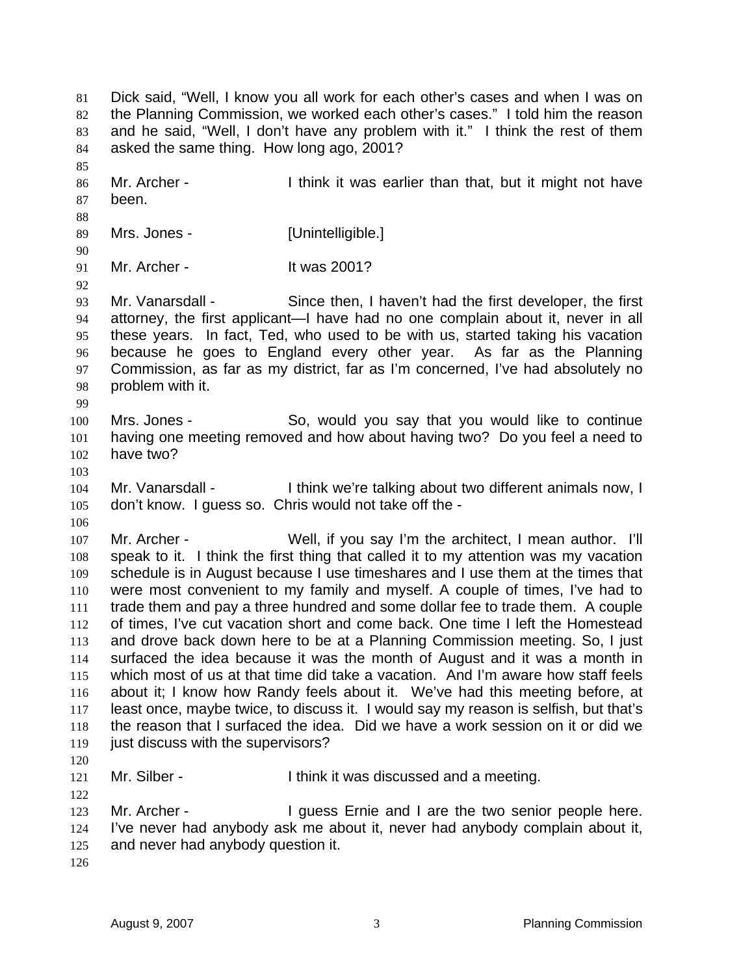Dick said, "Well, I know you all work for each other's cases and when I was on 82 the Planning Commission, we worked each other's cases." I told him the reason and he said, "Well, I don't have any problem with it." I think the rest of them asked the same thing. How long ago, 2001? 86 Mr. Archer - I think it was earlier than that, but it might not have been. 89 Mrs. Jones - [Unintelligible.] Mr. Archer - It was 2001? Mr. Vanarsdall - Since then, I haven't had the first developer, the first attorney, the first applicant—I have had no one complain about it, never in all these years. In fact, Ted, who used to be with us, started taking his vacation because he goes to England every other year. As far as the Planning Commission, as far as my district, far as I'm concerned, I've had absolutely no problem with it. Mrs. Jones - So, would you say that you would like to continue having one meeting removed and how about having two? Do you feel a need to have two? 104 Mr. Vanarsdall - I think we're talking about two different animals now, I don't know. I guess so. Chris would not take off the - Mr. Archer - Well, if you say I'm the architect, I mean author. I'll speak to it. I think the first thing that called it to my attention was my vacation schedule is in August because I use timeshares and I use them at the times that were most convenient to my family and myself. A couple of times, I've had to trade them and pay a three hundred and some dollar fee to trade them. A couple of times, I've cut vacation short and come back. One time I left the Homestead and drove back down here to be at a Planning Commission meeting. So, I just surfaced the idea because it was the month of August and it was a month in which most of us at that time did take a vacation. And I'm aware how staff feels about it; I know how Randy feels about it. We've had this meeting before, at least once, maybe twice, to discuss it. I would say my reason is selfish, but that's the reason that I surfaced the idea. Did we have a work session on it or did we 119 just discuss with the supervisors? 121 Mr. Silber - **I** think it was discussed and a meeting. Mr. Archer - I guess Ernie and I are the two senior people here. I've never had anybody ask me about it, never had anybody complain about it, and never had anybody question it.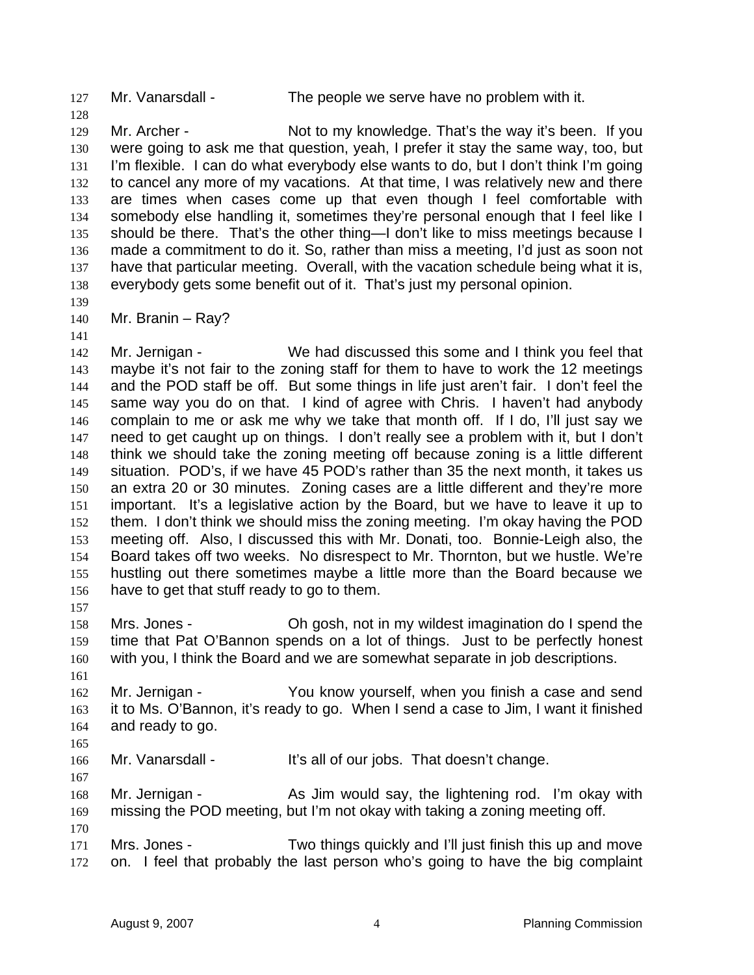Mr. Vanarsdall - The people we serve have no problem with it.

Mr. Archer - Not to my knowledge. That's the way it's been. If you were going to ask me that question, yeah, I prefer it stay the same way, too, but I'm flexible. I can do what everybody else wants to do, but I don't think I'm going to cancel any more of my vacations. At that time, I was relatively new and there are times when cases come up that even though I feel comfortable with somebody else handling it, sometimes they're personal enough that I feel like I should be there. That's the other thing—I don't like to miss meetings because I made a commitment to do it. So, rather than miss a meeting, I'd just as soon not have that particular meeting. Overall, with the vacation schedule being what it is, everybody gets some benefit out of it. That's just my personal opinion.

Mr. Branin – Ray?

142 Mr. Jernigan - We had discussed this some and I think you feel that maybe it's not fair to the zoning staff for them to have to work the 12 meetings and the POD staff be off. But some things in life just aren't fair. I don't feel the same way you do on that. I kind of agree with Chris. I haven't had anybody complain to me or ask me why we take that month off. If I do, I'll just say we need to get caught up on things. I don't really see a problem with it, but I don't think we should take the zoning meeting off because zoning is a little different situation. POD's, if we have 45 POD's rather than 35 the next month, it takes us an extra 20 or 30 minutes. Zoning cases are a little different and they're more important. It's a legislative action by the Board, but we have to leave it up to them. I don't think we should miss the zoning meeting. I'm okay having the POD meeting off. Also, I discussed this with Mr. Donati, too. Bonnie-Leigh also, the Board takes off two weeks. No disrespect to Mr. Thornton, but we hustle. We're hustling out there sometimes maybe a little more than the Board because we have to get that stuff ready to go to them. 

Mrs. Jones - Oh gosh, not in my wildest imagination do I spend the time that Pat O'Bannon spends on a lot of things. Just to be perfectly honest with you, I think the Board and we are somewhat separate in job descriptions.

 162 Mr. Jernigan - You know yourself, when you finish a case and send it to Ms. O'Bannon, it's ready to go. When I send a case to Jim, I want it finished and ready to go.

166 Mr. Vanarsdall - It's all of our jobs. That doesn't change.

168 Mr. Jernigan - As Jim would say, the lightening rod. I'm okay with missing the POD meeting, but I'm not okay with taking a zoning meeting off.

Mrs. Jones - Two things quickly and I'll just finish this up and move on. I feel that probably the last person who's going to have the big complaint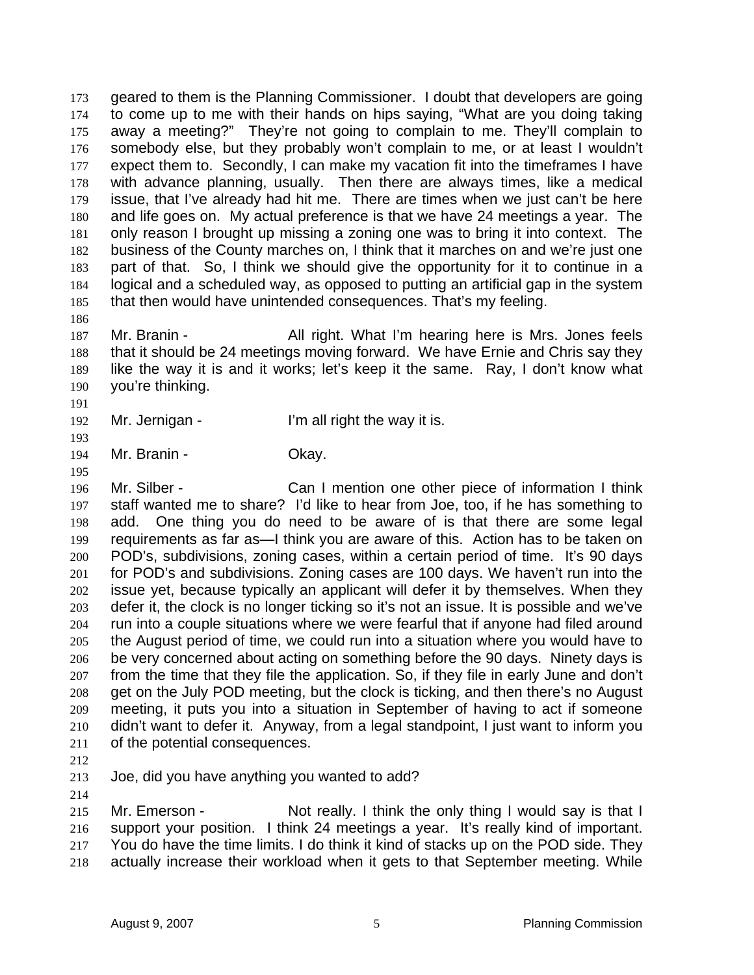geared to them is the Planning Commissioner. I doubt that developers are going to come up to me with their hands on hips saying, "What are you doing taking away a meeting?" They're not going to complain to me. They'll complain to somebody else, but they probably won't complain to me, or at least I wouldn't expect them to. Secondly, I can make my vacation fit into the timeframes I have with advance planning, usually. Then there are always times, like a medical issue, that I've already had hit me. There are times when we just can't be here and life goes on. My actual preference is that we have 24 meetings a year. The only reason I brought up missing a zoning one was to bring it into context. The business of the County marches on, I think that it marches on and we're just one part of that. So, I think we should give the opportunity for it to continue in a logical and a scheduled way, as opposed to putting an artificial gap in the system that then would have unintended consequences. That's my feeling.

Mr. Branin - All right. What I'm hearing here is Mrs. Jones feels that it should be 24 meetings moving forward. We have Ernie and Chris say they like the way it is and it works; let's keep it the same. Ray, I don't know what you're thinking.

192 Mr. Jernigan - I'm all right the way it is.

194 Mr. Branin - Ckay.

Mr. Silber - Can I mention one other piece of information I think staff wanted me to share? I'd like to hear from Joe, too, if he has something to add. One thing you do need to be aware of is that there are some legal requirements as far as—I think you are aware of this. Action has to be taken on POD's, subdivisions, zoning cases, within a certain period of time. It's 90 days for POD's and subdivisions. Zoning cases are 100 days. We haven't run into the issue yet, because typically an applicant will defer it by themselves. When they defer it, the clock is no longer ticking so it's not an issue. It is possible and we've run into a couple situations where we were fearful that if anyone had filed around the August period of time, we could run into a situation where you would have to be very concerned about acting on something before the 90 days. Ninety days is from the time that they file the application. So, if they file in early June and don't get on the July POD meeting, but the clock is ticking, and then there's no August meeting, it puts you into a situation in September of having to act if someone didn't want to defer it. Anyway, from a legal standpoint, I just want to inform you of the potential consequences.

Joe, did you have anything you wanted to add?

Mr. Emerson - Not really. I think the only thing I would say is that I support your position. I think 24 meetings a year. It's really kind of important. 217 You do have the time limits. I do think it kind of stacks up on the POD side. They actually increase their workload when it gets to that September meeting. While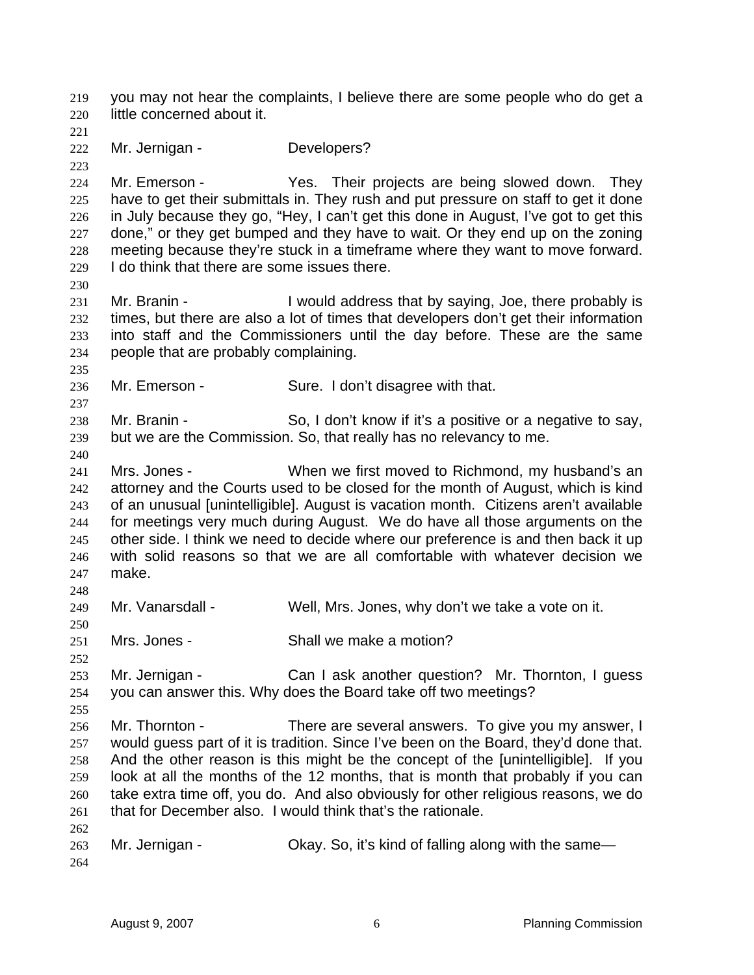you may not hear the complaints, I believe there are some people who do get a little concerned about it. Mr. Jernigan - Developers? 224 Mr. Emerson - Yes. Their projects are being slowed down. They have to get their submittals in. They rush and put pressure on staff to get it done in July because they go, "Hey, I can't get this done in August, I've got to get this 227 done," or they get bumped and they have to wait. Or they end up on the zoning meeting because they're stuck in a timeframe where they want to move forward. I do think that there are some issues there. 231 Mr. Branin - I would address that by saying, Joe, there probably is times, but there are also a lot of times that developers don't get their information into staff and the Commissioners until the day before. These are the same people that are probably complaining. 236 Mr. Emerson - Sure. I don't disagree with that. 238 Mr. Branin - So, I don't know if it's a positive or a negative to say, but we are the Commission. So, that really has no relevancy to me. Mrs. Jones - When we first moved to Richmond, my husband's an attorney and the Courts used to be closed for the month of August, which is kind of an unusual [unintelligible]. August is vacation month. Citizens aren't available for meetings very much during August. We do have all those arguments on the other side. I think we need to decide where our preference is and then back it up with solid reasons so that we are all comfortable with whatever decision we make. Mr. Vanarsdall - Well, Mrs. Jones, why don't we take a vote on it. Mrs. Jones - Shall we make a motion? 253 Mr. Jernigan - Can I ask another question? Mr. Thornton, I guess you can answer this. Why does the Board take off two meetings? 256 Mr. Thornton - There are several answers. To give you my answer, I would guess part of it is tradition. Since I've been on the Board, they'd done that. And the other reason is this might be the concept of the [unintelligible]. If you look at all the months of the 12 months, that is month that probably if you can take extra time off, you do. And also obviously for other religious reasons, we do that for December also. I would think that's the rationale. Mr. Jernigan - Okay. So, it's kind of falling along with the same—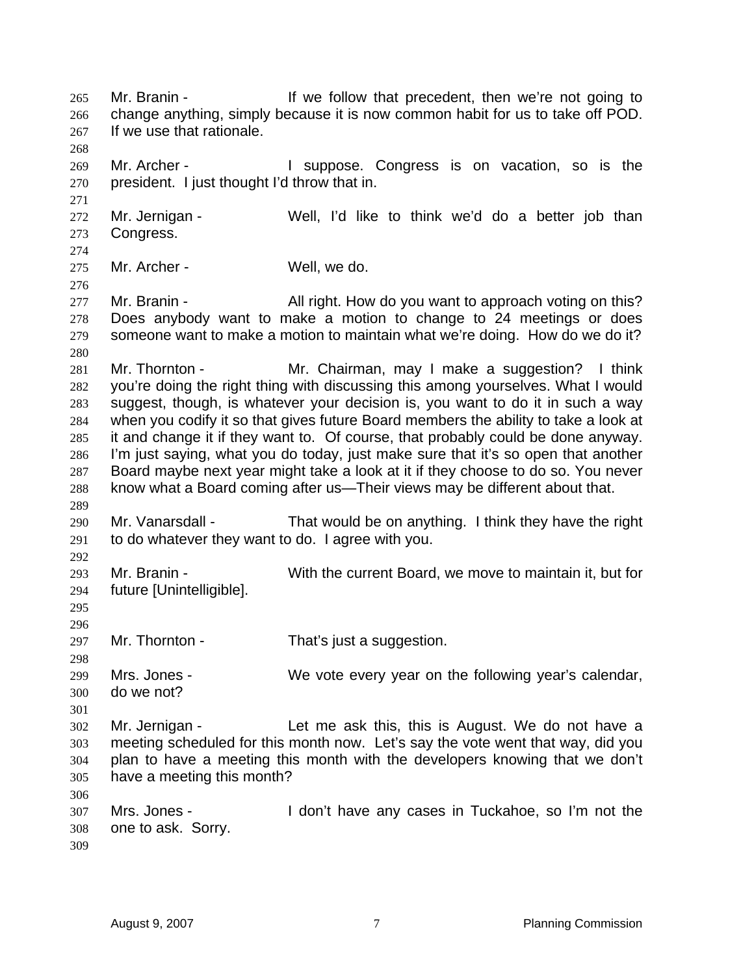Mr. Branin - If we follow that precedent, then we're not going to change anything, simply because it is now common habit for us to take off POD. If we use that rationale. 269 Mr. Archer - I suppose. Congress is on vacation, so is the president. I just thought I'd throw that in. Mr. Jernigan - Well, I'd like to think we'd do a better job than Congress. Mr. Archer - Well, we do. 277 Mr. Branin - All right. How do you want to approach voting on this? Does anybody want to make a motion to change to 24 meetings or does someone want to make a motion to maintain what we're doing. How do we do it? Mr. Thornton - Mr. Chairman, may I make a suggestion? I think you're doing the right thing with discussing this among yourselves. What I would suggest, though, is whatever your decision is, you want to do it in such a way when you codify it so that gives future Board members the ability to take a look at it and change it if they want to. Of course, that probably could be done anyway. I'm just saying, what you do today, just make sure that it's so open that another Board maybe next year might take a look at it if they choose to do so. You never know what a Board coming after us—Their views may be different about that. Mr. Vanarsdall - That would be on anything. I think they have the right to do whatever they want to do. I agree with you. Mr. Branin - With the current Board, we move to maintain it, but for future [Unintelligible]. 297 Mr. Thornton - That's just a suggestion. Mrs. Jones - We vote every year on the following year's calendar, do we not? Mr. Jernigan - Let me ask this, this is August. We do not have a meeting scheduled for this month now. Let's say the vote went that way, did you plan to have a meeting this month with the developers knowing that we don't have a meeting this month? Mrs. Jones - I don't have any cases in Tuckahoe, so I'm not the one to ask. Sorry.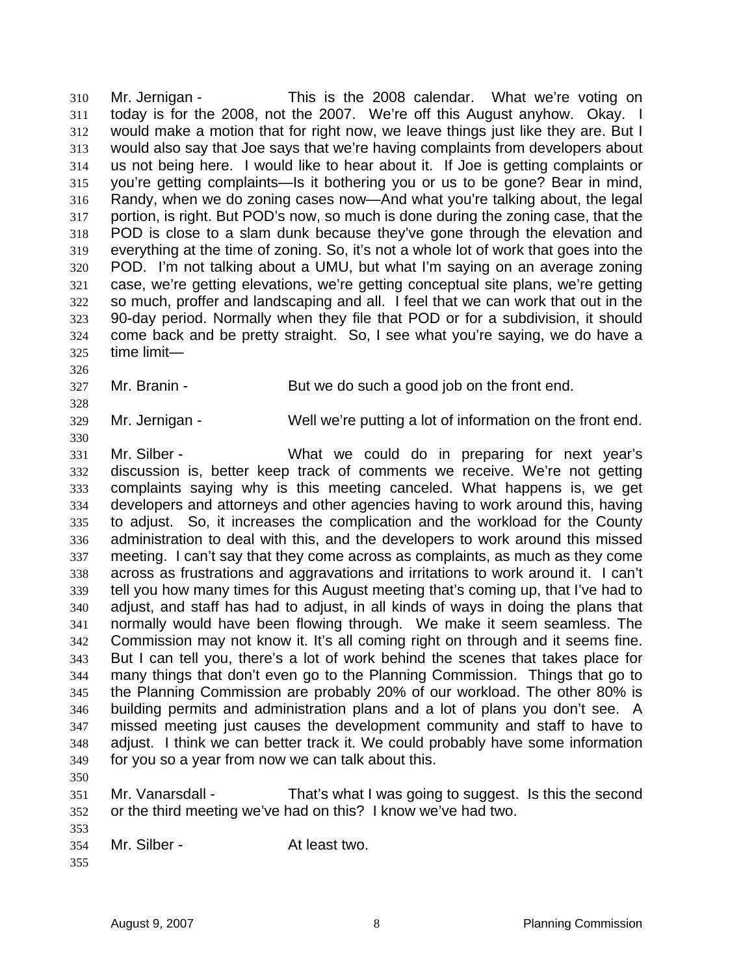Mr. Jernigan - This is the 2008 calendar. What we're voting on today is for the 2008, not the 2007. We're off this August anyhow. Okay. I would make a motion that for right now, we leave things just like they are. But I would also say that Joe says that we're having complaints from developers about us not being here. I would like to hear about it. If Joe is getting complaints or you're getting complaints—Is it bothering you or us to be gone? Bear in mind, Randy, when we do zoning cases now—And what you're talking about, the legal portion, is right. But POD's now, so much is done during the zoning case, that the POD is close to a slam dunk because they've gone through the elevation and everything at the time of zoning. So, it's not a whole lot of work that goes into the POD. I'm not talking about a UMU, but what I'm saying on an average zoning case, we're getting elevations, we're getting conceptual site plans, we're getting so much, proffer and landscaping and all. I feel that we can work that out in the 90-day period. Normally when they file that POD or for a subdivision, it should come back and be pretty straight. So, I see what you're saying, we do have a time limit—

Mr. Branin - But we do such a good job on the front end.

Mr. Jernigan - Well we're putting a lot of information on the front end.

Mr. Silber - What we could do in preparing for next year's discussion is, better keep track of comments we receive. We're not getting complaints saying why is this meeting canceled. What happens is, we get developers and attorneys and other agencies having to work around this, having to adjust. So, it increases the complication and the workload for the County administration to deal with this, and the developers to work around this missed meeting. I can't say that they come across as complaints, as much as they come across as frustrations and aggravations and irritations to work around it. I can't tell you how many times for this August meeting that's coming up, that I've had to adjust, and staff has had to adjust, in all kinds of ways in doing the plans that normally would have been flowing through. We make it seem seamless. The Commission may not know it. It's all coming right on through and it seems fine. But I can tell you, there's a lot of work behind the scenes that takes place for many things that don't even go to the Planning Commission. Things that go to the Planning Commission are probably 20% of our workload. The other 80% is building permits and administration plans and a lot of plans you don't see. A missed meeting just causes the development community and staff to have to adjust. I think we can better track it. We could probably have some information for you so a year from now we can talk about this.

Mr. Vanarsdall - That's what I was going to suggest. Is this the second or the third meeting we've had on this? I know we've had two.

Mr. Silber - At least two.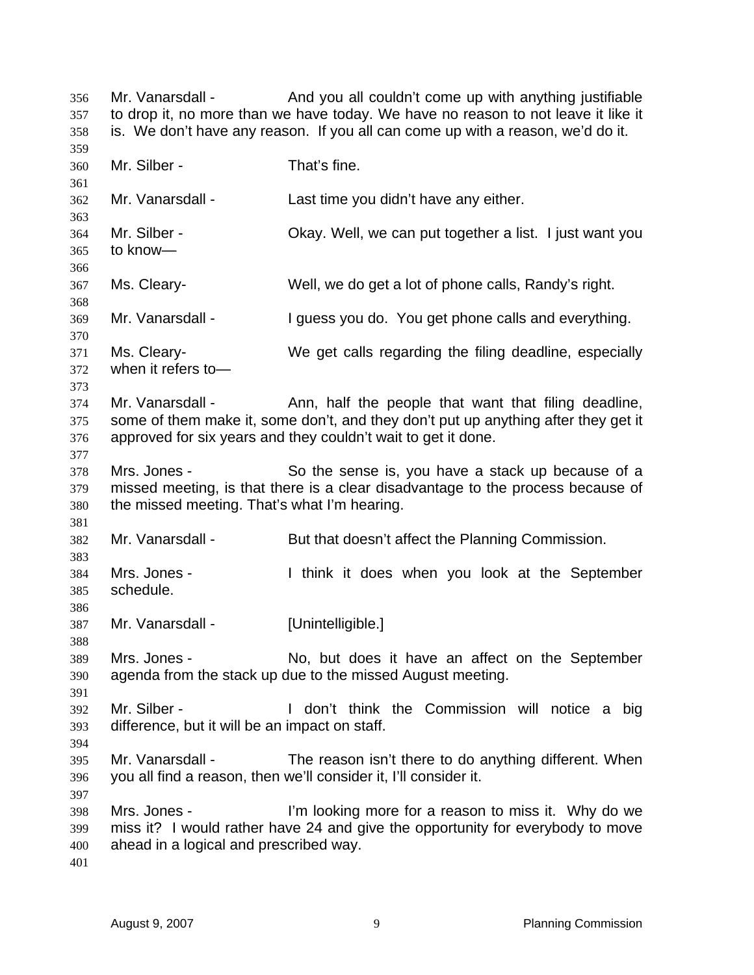Mr. Vanarsdall - And you all couldn't come up with anything justifiable to drop it, no more than we have today. We have no reason to not leave it like it is. We don't have any reason. If you all can come up with a reason, we'd do it. Mr. Silber - That's fine. Mr. Vanarsdall - Last time you didn't have any either. Mr. Silber - Okay. Well, we can put together a list. I just want you to know— Ms. Cleary- Well, we do get a lot of phone calls, Randy's right. Mr. Vanarsdall - I guess you do. You get phone calls and everything. Ms. Cleary- We get calls regarding the filing deadline, especially when it refers to— 374 Mr. Vanarsdall - Ann, half the people that want that filing deadline, some of them make it, some don't, and they don't put up anything after they get it approved for six years and they couldn't wait to get it done. Mrs. Jones - So the sense is, you have a stack up because of a missed meeting, is that there is a clear disadvantage to the process because of the missed meeting. That's what I'm hearing. Mr. Vanarsdall - But that doesn't affect the Planning Commission. Mrs. Jones - I think it does when you look at the September schedule. Mr. Vanarsdall - [Unintelligible.] Mrs. Jones - No, but does it have an affect on the September agenda from the stack up due to the missed August meeting. Mr. Silber - I don't think the Commission will notice a big difference, but it will be an impact on staff. Mr. Vanarsdall - The reason isn't there to do anything different. When you all find a reason, then we'll consider it, I'll consider it. Mrs. Jones - I'm looking more for a reason to miss it. Why do we miss it? I would rather have 24 and give the opportunity for everybody to move ahead in a logical and prescribed way.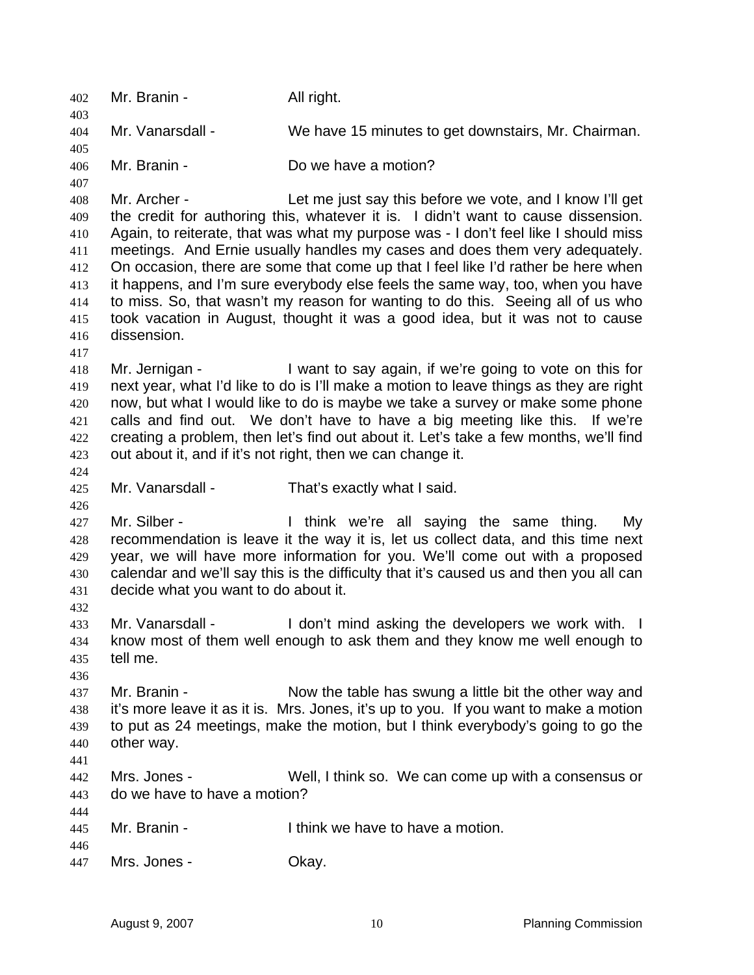Mr. Branin - All right. Mr. Vanarsdall - We have 15 minutes to get downstairs, Mr. Chairman. Mr. Branin - Do we have a motion? Mr. Archer - Let me just say this before we vote, and I know I'll get the credit for authoring this, whatever it is. I didn't want to cause dissension. Again, to reiterate, that was what my purpose was - I don't feel like I should miss meetings. And Ernie usually handles my cases and does them very adequately. On occasion, there are some that come up that I feel like I'd rather be here when it happens, and I'm sure everybody else feels the same way, too, when you have to miss. So, that wasn't my reason for wanting to do this. Seeing all of us who took vacation in August, thought it was a good idea, but it was not to cause dissension. Mr. Jernigan - I want to say again, if we're going to vote on this for next year, what I'd like to do is I'll make a motion to leave things as they are right now, but what I would like to do is maybe we take a survey or make some phone calls and find out. We don't have to have a big meeting like this. If we're creating a problem, then let's find out about it. Let's take a few months, we'll find out about it, and if it's not right, then we can change it. Mr. Vanarsdall - That's exactly what I said. 427 Mr. Silber - I think we're all saying the same thing. My recommendation is leave it the way it is, let us collect data, and this time next year, we will have more information for you. We'll come out with a proposed calendar and we'll say this is the difficulty that it's caused us and then you all can decide what you want to do about it. 433 Mr. Vanarsdall - I don't mind asking the developers we work with. I know most of them well enough to ask them and they know me well enough to tell me. 437 Mr. Branin - Now the table has swung a little bit the other way and it's more leave it as it is. Mrs. Jones, it's up to you. If you want to make a motion to put as 24 meetings, make the motion, but I think everybody's going to go the other way. Mrs. Jones - Well, I think so. We can come up with a consensus or do we have to have a motion? Mr. Branin - I think we have to have a motion. Mrs. Jones - Okay.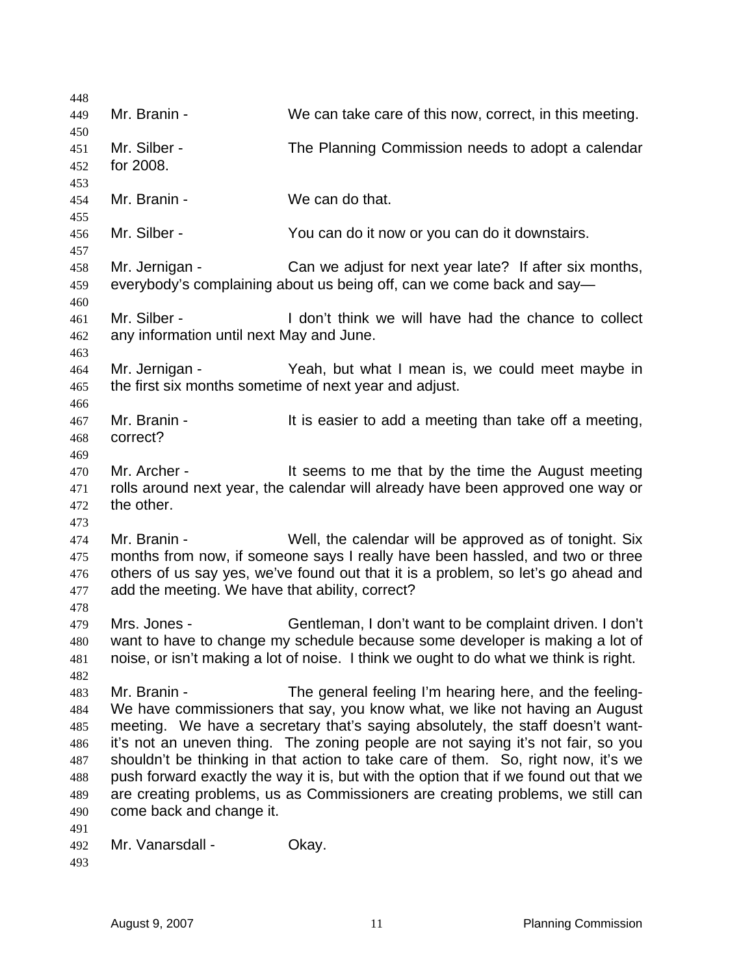| 448                                                                |                                                                 |                                                                                                                                                                                                                                                                                                                                                                                                                                                                                                                                                                            |
|--------------------------------------------------------------------|-----------------------------------------------------------------|----------------------------------------------------------------------------------------------------------------------------------------------------------------------------------------------------------------------------------------------------------------------------------------------------------------------------------------------------------------------------------------------------------------------------------------------------------------------------------------------------------------------------------------------------------------------------|
| 449<br>450                                                         | Mr. Branin -                                                    | We can take care of this now, correct, in this meeting.                                                                                                                                                                                                                                                                                                                                                                                                                                                                                                                    |
| 451<br>452<br>453                                                  | Mr. Silber -<br>for 2008.                                       | The Planning Commission needs to adopt a calendar                                                                                                                                                                                                                                                                                                                                                                                                                                                                                                                          |
| 454<br>455                                                         | Mr. Branin -                                                    | We can do that.                                                                                                                                                                                                                                                                                                                                                                                                                                                                                                                                                            |
| 456<br>457                                                         | Mr. Silber -                                                    | You can do it now or you can do it downstairs.                                                                                                                                                                                                                                                                                                                                                                                                                                                                                                                             |
| 458<br>459<br>460                                                  | Mr. Jernigan -                                                  | Can we adjust for next year late? If after six months,<br>everybody's complaining about us being off, can we come back and say—                                                                                                                                                                                                                                                                                                                                                                                                                                            |
| 461<br>462<br>463                                                  | Mr. Silber -<br>any information until next May and June.        | I don't think we will have had the chance to collect                                                                                                                                                                                                                                                                                                                                                                                                                                                                                                                       |
| 464<br>465                                                         | Mr. Jernigan -                                                  | Yeah, but what I mean is, we could meet maybe in<br>the first six months sometime of next year and adjust.                                                                                                                                                                                                                                                                                                                                                                                                                                                                 |
| 466<br>467<br>468                                                  | Mr. Branin -<br>correct?                                        | It is easier to add a meeting than take off a meeting,                                                                                                                                                                                                                                                                                                                                                                                                                                                                                                                     |
| 469<br>470<br>471<br>472                                           | Mr. Archer -<br>the other.                                      | It seems to me that by the time the August meeting<br>rolls around next year, the calendar will already have been approved one way or                                                                                                                                                                                                                                                                                                                                                                                                                                      |
| 473<br>474<br>475<br>476<br>477                                    | Mr. Branin -<br>add the meeting. We have that ability, correct? | Well, the calendar will be approved as of tonight. Six<br>months from now, if someone says I really have been hassled, and two or three<br>others of us say yes, we've found out that it is a problem, so let's go ahead and                                                                                                                                                                                                                                                                                                                                               |
| 478<br>479<br>480<br>481                                           | Mrs. Jones -                                                    | Gentleman, I don't want to be complaint driven. I don't<br>want to have to change my schedule because some developer is making a lot of<br>noise, or isn't making a lot of noise. I think we ought to do what we think is right.                                                                                                                                                                                                                                                                                                                                           |
| 482<br>483<br>484<br>485<br>486<br>487<br>488<br>489<br>490<br>491 | Mr. Branin -<br>come back and change it.                        | The general feeling I'm hearing here, and the feeling-<br>We have commissioners that say, you know what, we like not having an August<br>meeting. We have a secretary that's saying absolutely, the staff doesn't want-<br>it's not an uneven thing. The zoning people are not saying it's not fair, so you<br>shouldn't be thinking in that action to take care of them. So, right now, it's we<br>push forward exactly the way it is, but with the option that if we found out that we<br>are creating problems, us as Commissioners are creating problems, we still can |
| 492<br>493                                                         | Mr. Vanarsdall -                                                | Okay.                                                                                                                                                                                                                                                                                                                                                                                                                                                                                                                                                                      |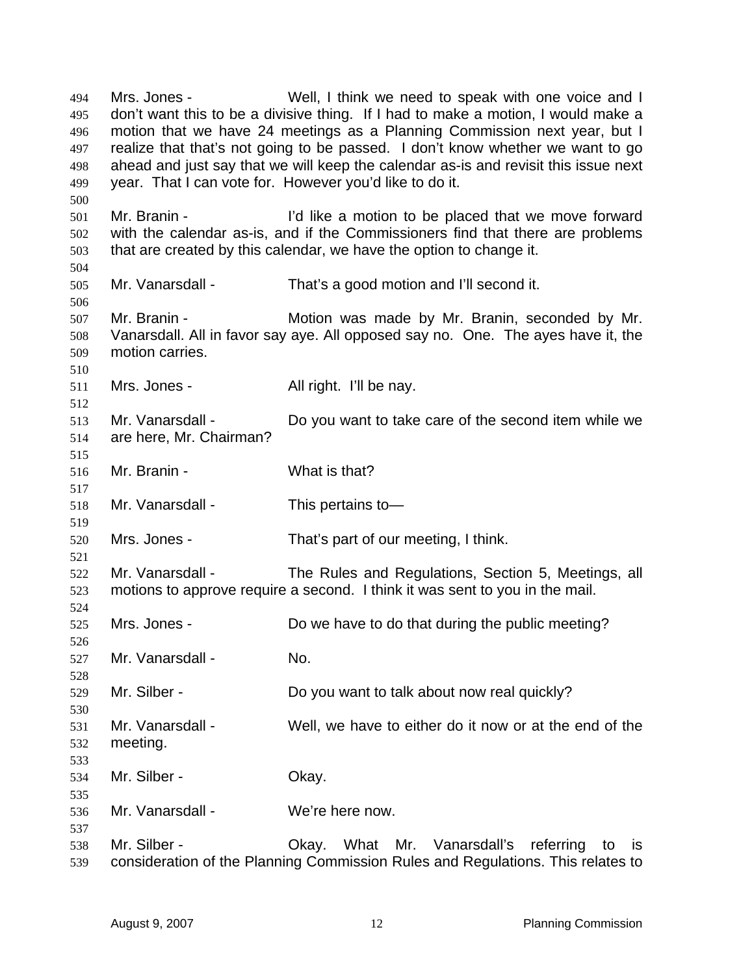Mrs. Jones - Well, I think we need to speak with one voice and I don't want this to be a divisive thing. If I had to make a motion, I would make a motion that we have 24 meetings as a Planning Commission next year, but I realize that that's not going to be passed. I don't know whether we want to go ahead and just say that we will keep the calendar as-is and revisit this issue next year. That I can vote for. However you'd like to do it. Mr. Branin - I'd like a motion to be placed that we move forward with the calendar as-is, and if the Commissioners find that there are problems that are created by this calendar, we have the option to change it. Mr. Vanarsdall - That's a good motion and I'll second it. Mr. Branin - Motion was made by Mr. Branin, seconded by Mr. Vanarsdall. All in favor say aye. All opposed say no. One. The ayes have it, the motion carries. 511 Mrs. Jones - All right. I'll be nay. Mr. Vanarsdall - Do you want to take care of the second item while we are here, Mr. Chairman? Mr. Branin - What is that? Mr. Vanarsdall - This pertains to— Mrs. Jones - That's part of our meeting, I think. Mr. Vanarsdall - The Rules and Regulations, Section 5, Meetings, all motions to approve require a second. I think it was sent to you in the mail. Mrs. Jones - Do we have to do that during the public meeting? Mr. Vanarsdall - No. Mr. Silber - Do you want to talk about now real quickly? Mr. Vanarsdall - Well, we have to either do it now or at the end of the meeting. Mr. Silber - Okay. Mr. Vanarsdall - We're here now. Mr. Silber - Okay. What Mr. Vanarsdall's referring to is consideration of the Planning Commission Rules and Regulations. This relates to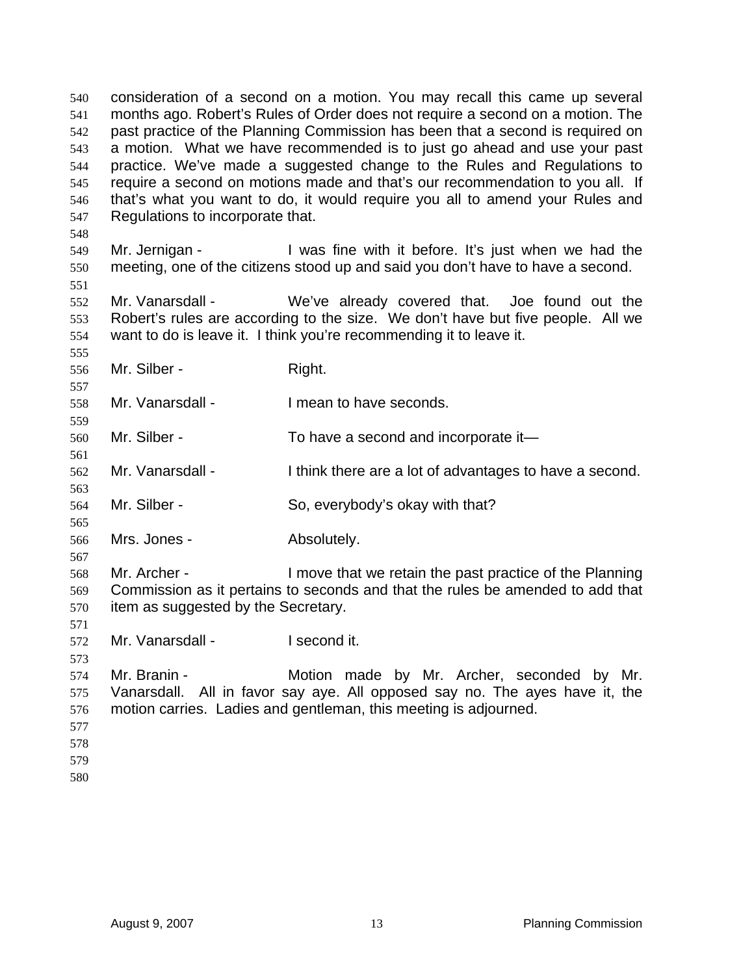consideration of a second on a motion. You may recall this came up several months ago. Robert's Rules of Order does not require a second on a motion. The past practice of the Planning Commission has been that a second is required on a motion. What we have recommended is to just go ahead and use your past practice. We've made a suggested change to the Rules and Regulations to require a second on motions made and that's our recommendation to you all. If that's what you want to do, it would require you all to amend your Rules and Regulations to incorporate that. Mr. Jernigan - I was fine with it before. It's just when we had the meeting, one of the citizens stood up and said you don't have to have a second. Mr. Vanarsdall - We've already covered that. Joe found out the Robert's rules are according to the size. We don't have but five people. All we want to do is leave it. I think you're recommending it to leave it. Mr. Silber - Right. Mr. Vanarsdall - I mean to have seconds. Mr. Silber - To have a second and incorporate it— Mr. Vanarsdall - I think there are a lot of advantages to have a second. Mr. Silber - So, everybody's okay with that? Mrs. Jones - Absolutely. Mr. Archer - I move that we retain the past practice of the Planning Commission as it pertains to seconds and that the rules be amended to add that item as suggested by the Secretary. Mr. Vanarsdall - I second it. Mr. Branin - Motion made by Mr. Archer, seconded by Mr. Vanarsdall. All in favor say aye. All opposed say no. The ayes have it, the motion carries. Ladies and gentleman, this meeting is adjourned.